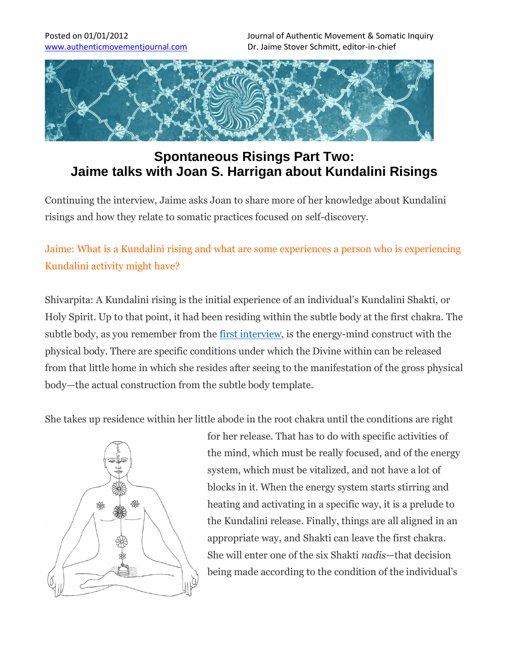

# **Spontaneous Risings Part Two: Jaime talks with Joan S. Harrigan about Kundalini Risings**

Continuing the interview, Jaime asks Joan to share more of her knowledge about Kundalini risings and how they relate to somatic practices focused on self-discovery.

## Jaime: What is a Kundalini rising and what are some experiences a person who is experiencing Kundalini activity might have?

Shivarpita: A Kundalini rising is the initial experience of an individual's Kundalini Shakti, or Holy Spirit. Up to that point, it had been residing within the subtle body at the first chakra. The subtle body, as you remember from the first interview, is the energy-mind construct with the physical body. There are specific conditions under which the Divine within can be released from that little home in which she resides after seeing to the manifestation of the gross physical body—the actual construction from the subtle body template.

She takes up residence within her little abode in the root chakra until the conditions are right



for her release. That has to do with specific activities of the mind, which must be really focused, and of the energy system, which must be vitalized, and not have a lot of blocks in it. When the energy system starts stirring and heating and activating in a specific way, it is a prelude to the Kundalini release. Finally, things are all aligned in an appropriate way, and Shakti can leave the first chakra. She will enter one of the six Shakti *nadis*—that decision being made according to the condition of the individual's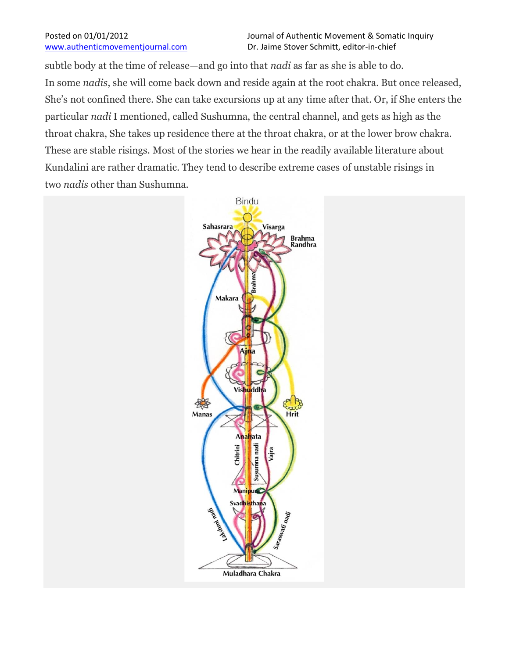subtle body at the time of release—and go into that *nadi* as far as she is able to do. In some *nadis*, she will come back down and reside again at the root chakra. But once released, She's not confined there. She can take excursions up at any time after that. Or, if She enters the particular *nadi* I mentioned, called Sushumna, the central channel, and gets as high as the throat chakra, She takes up residence there at the throat chakra, or at the lower brow chakra. These are stable risings. Most of the stories we hear in the readily available literature about Kundalini are rather dramatic. They tend to describe extreme cases of unstable risings in two *nadis* other than Sushumna.

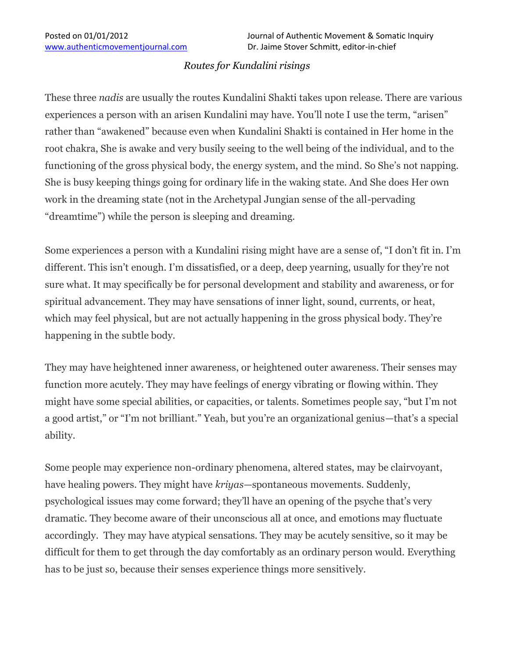## *Routes for Kundalini risings*

These three *nadis* are usually the routes Kundalini Shakti takes upon release. There are various experiences a person with an arisen Kundalini may have. You'll note I use the term, "arisen" rather than "awakened" because even when Kundalini Shakti is contained in Her home in the root chakra, She is awake and very busily seeing to the well being of the individual, and to the functioning of the gross physical body, the energy system, and the mind. So She's not napping. She is busy keeping things going for ordinary life in the waking state. And She does Her own work in the dreaming state (not in the Archetypal Jungian sense of the all-pervading "dreamtime") while the person is sleeping and dreaming.

Some experiences a person with a Kundalini rising might have are a sense of, "I don't fit in. I'm different. This isn't enough. I'm dissatisfied, or a deep, deep yearning, usually for they're not sure what. It may specifically be for personal development and stability and awareness, or for spiritual advancement. They may have sensations of inner light, sound, currents, or heat, which may feel physical, but are not actually happening in the gross physical body. They're happening in the subtle body.

They may have heightened inner awareness, or heightened outer awareness. Their senses may function more acutely. They may have feelings of energy vibrating or flowing within. They might have some special abilities, or capacities, or talents. Sometimes people say, "but I'm not a good artist," or "I'm not brilliant." Yeah, but you're an organizational genius—that's a special ability.

Some people may experience non-ordinary phenomena, altered states, may be clairvoyant, have healing powers. They might have *kriyas*—spontaneous movements. Suddenly, psychological issues may come forward; they'll have an opening of the psyche that's very dramatic. They become aware of their unconscious all at once, and emotions may fluctuate accordingly. They may have atypical sensations. They may be acutely sensitive, so it may be difficult for them to get through the day comfortably as an ordinary person would. Everything has to be just so, because their senses experience things more sensitively.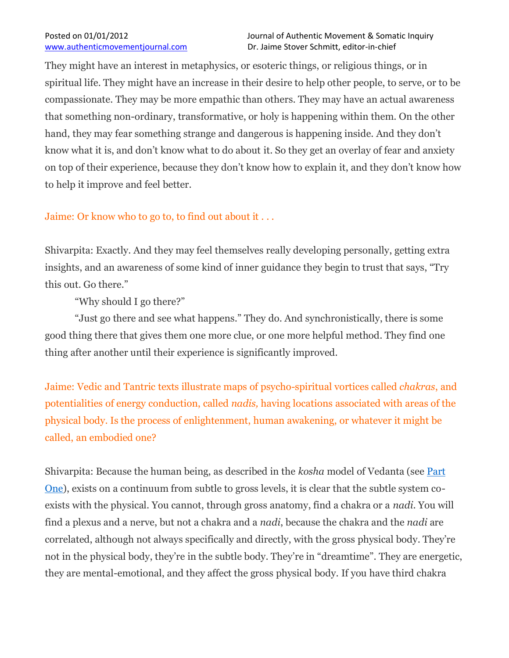They might have an interest in metaphysics, or esoteric things, or religious things, or in spiritual life. They might have an increase in their desire to help other people, to serve, or to be compassionate. They may be more empathic than others. They may have an actual awareness that something non-ordinary, transformative, or holy is happening within them. On the other hand, they may fear something strange and dangerous is happening inside. And they don't know what it is, and don't know what to do about it. So they get an overlay of fear and anxiety on top of their experience, because they don't know how to explain it, and they don't know how to help it improve and feel better.

## Jaime: Or know who to go to, to find out about it . . .

Shivarpita: Exactly. And they may feel themselves really developing personally, getting extra insights, and an awareness of some kind of inner guidance they begin to trust that says, "Try this out. Go there."

"Why should I go there?"

"Just go there and see what happens." They do. And synchronistically, there is some good thing there that gives them one more clue, or one more helpful method. They find one thing after another until their experience is significantly improved.

Jaime: Vedic and Tantric texts illustrate maps of psycho-spiritual vortices called *chakras*, and potentialities of energy conduction, called *nadis,* having locations associated with areas of the physical body. Is the process of enlightenment, human awakening, or whatever it might be called, an embodied one?

Shivarpita: Because the human being, as described in the *kosha* model of Vedanta (see Part One), exists on a continuum from subtle to gross levels, it is clear that the subtle system coexists with the physical. You cannot, through gross anatomy, find a chakra or a *nadi*. You will find a plexus and a nerve, but not a chakra and a *nadi*, because the chakra and the *nadi* are correlated, although not always specifically and directly, with the gross physical body. They're not in the physical body, they're in the subtle body. They're in "dreamtime". They are energetic, they are mental-emotional, and they affect the gross physical body. If you have third chakra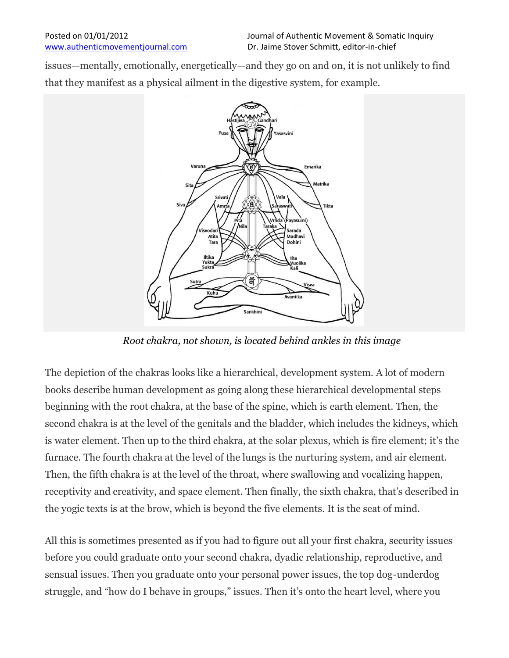issues—mentally, emotionally, energetically—and they go on and on, it is not unlikely to find that they manifest as a physical ailment in the digestive system, for example.



*Root chakra, not shown, is located behind ankles in this image*

The depiction of the chakras looks like a hierarchical, development system. A lot of modern books describe human development as going along these hierarchical developmental steps beginning with the root chakra, at the base of the spine, which is earth element. Then, the second chakra is at the level of the genitals and the bladder, which includes the kidneys, which is water element. Then up to the third chakra, at the solar plexus, which is fire element; it's the furnace. The fourth chakra at the level of the lungs is the nurturing system, and air element. Then, the fifth chakra is at the level of the throat, where swallowing and vocalizing happen, receptivity and creativity, and space element. Then finally, the sixth chakra, that's described in the yogic texts is at the brow, which is beyond the five elements. It is the seat of mind.

All this is sometimes presented as if you had to figure out all your first chakra, security issues before you could graduate onto your second chakra, dyadic relationship, reproductive, and sensual issues. Then you graduate onto your personal power issues, the top dog-underdog struggle, and "how do I behave in groups," issues. Then it's onto the heart level, where you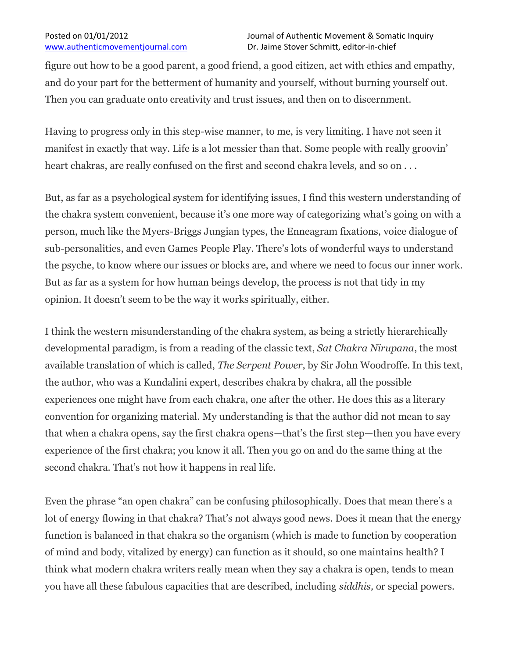figure out how to be a good parent, a good friend, a good citizen, act with ethics and empathy, and do your part for the betterment of humanity and yourself, without burning yourself out. Then you can graduate onto creativity and trust issues, and then on to discernment.

Having to progress only in this step-wise manner, to me, is very limiting. I have not seen it manifest in exactly that way. Life is a lot messier than that. Some people with really groovin' heart chakras, are really confused on the first and second chakra levels, and so on ...

But, as far as a psychological system for identifying issues, I find this western understanding of the chakra system convenient, because it's one more way of categorizing what's going on with a person, much like the Myers-Briggs Jungian types, the Enneagram fixations, voice dialogue of sub-personalities, and even Games People Play. There's lots of wonderful ways to understand the psyche, to know where our issues or blocks are, and where we need to focus our inner work. But as far as a system for how human beings develop, the process is not that tidy in my opinion. It doesn't seem to be the way it works spiritually, either.

I think the western misunderstanding of the chakra system, as being a strictly hierarchically developmental paradigm, is from a reading of the classic text, *Sat Chakra Nirupana*, the most available translation of which is called, *The Serpent Power*, by Sir John Woodroffe. In this text, the author, who was a Kundalini expert, describes chakra by chakra, all the possible experiences one might have from each chakra, one after the other. He does this as a literary convention for organizing material. My understanding is that the author did not mean to say that when a chakra opens, say the first chakra opens—that's the first step—then you have every experience of the first chakra; you know it all. Then you go on and do the same thing at the second chakra. That's not how it happens in real life.

Even the phrase "an open chakra" can be confusing philosophically. Does that mean there's a lot of energy flowing in that chakra? That's not always good news. Does it mean that the energy function is balanced in that chakra so the organism (which is made to function by cooperation of mind and body, vitalized by energy) can function as it should, so one maintains health? I think what modern chakra writers really mean when they say a chakra is open, tends to mean you have all these fabulous capacities that are described, including *siddhis,* or special powers.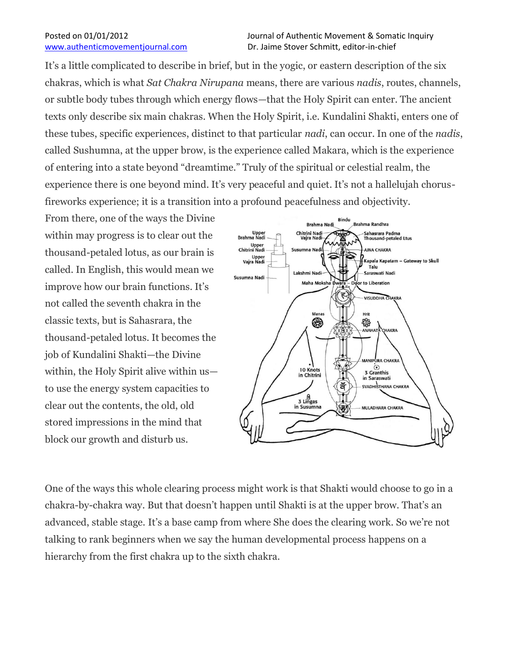It's a little complicated to describe in brief, but in the yogic, or eastern description of the six chakras, which is what *Sat Chakra Nirupana* means, there are various *nadis*, routes, channels, or subtle body tubes through which energy flows—that the Holy Spirit can enter. The ancient texts only describe six main chakras. When the Holy Spirit, i.e. Kundalini Shakti, enters one of these tubes, specific experiences, distinct to that particular *nadi*, can occur. In one of the *nadis*, called Sushumna, at the upper brow, is the experience called Makara, which is the experience of entering into a state beyond "dreamtime." Truly of the spiritual or celestial realm, the experience there is one beyond mind. It's very peaceful and quiet. It's not a hallelujah chorusfireworks experience; it is a transition into a profound peacefulness and objectivity.

From there, one of the ways the Divine within may progress is to clear out the thousand-petaled lotus, as our brain is called. In English, this would mean we improve how our brain functions. It's not called the seventh chakra in the classic texts, but is Sahasrara, the thousand-petaled lotus. It becomes the job of Kundalini Shakti—the Divine within, the Holy Spirit alive within us to use the energy system capacities to clear out the contents, the old, old stored impressions in the mind that block our growth and disturb us.



One of the ways this whole clearing process might work is that Shakti would choose to go in a chakra-by-chakra way. But that doesn't happen until Shakti is at the upper brow. That's an advanced, stable stage. It's a base camp from where She does the clearing work. So we're not talking to rank beginners when we say the human developmental process happens on a hierarchy from the first chakra up to the sixth chakra.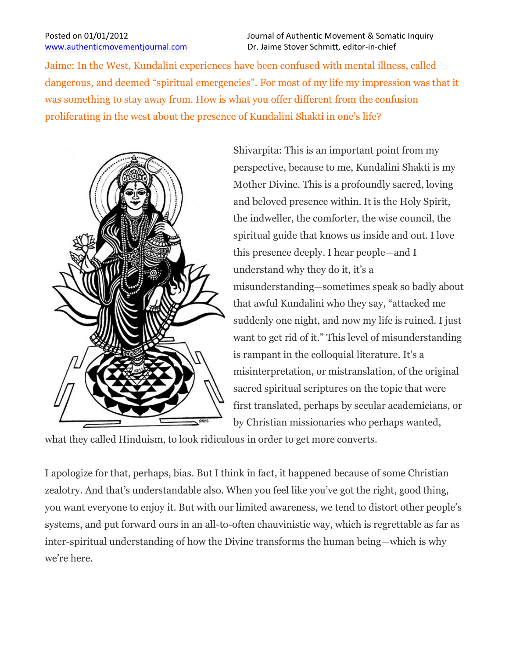Jaime: In the West, Kundalini experiences have been confused with mental illness, called dangerous, and deemed "spiritual emergencies". For most of my life my impression was that it was something to stay away from. How is what you offer different from the confusion proliferating in the west about the presence of Kundalini Shakti in one's life?



Shivarpita: This is an important point from my perspective, because to me, Kundalini Shakti is my Mother Divine. This is a profoundly sacred, loving and beloved presence within. It is the Holy Spirit, the indweller, the comforter, the wise council, the spiritual guide that knows us inside and out. I love this presence deeply. I hear people—and I understand why they do it, it's a misunderstanding—sometimes speak so badly about that awful Kundalini who they say, "attacked me suddenly one night, and now my life is ruined. I just want to get rid of it." This level of misunderstanding is rampant in the colloquial literature. It's a misinterpretation, or mistranslation, of the original sacred spiritual scriptures on the topic that were first translated, perhaps by secular academicians, or by Christian missionaries who perhaps wanted,

what they called Hinduism, to look ridiculous in order to get more converts.

I apologize for that, perhaps, bias. But I think in fact, it happened because of some Christian zealotry. And that's understandable also. When you feel like you've got the right, good thing, you want everyone to enjoy it. But with our limited awareness, we tend to distort other people's systems, and put forward ours in an all-to-often chauvinistic way, which is regrettable as far as inter-spiritual understanding of how the Divine transforms the human being—which is why we're here.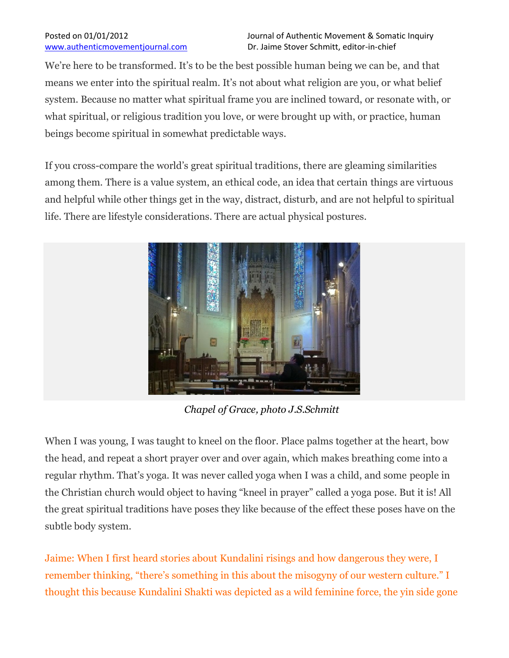We're here to be transformed. It's to be the best possible human being we can be, and that means we enter into the spiritual realm. It's not about what religion are you, or what belief system. Because no matter what spiritual frame you are inclined toward, or resonate with, or what spiritual, or religious tradition you love, or were brought up with, or practice, human beings become spiritual in somewhat predictable ways.

If you cross-compare the world's great spiritual traditions, there are gleaming similarities among them. There is a value system, an ethical code, an idea that certain things are virtuous and helpful while other things get in the way, distract, disturb, and are not helpful to spiritual life. There are lifestyle considerations. There are actual physical postures.



*Chapel of Grace, photo J.S.Schmitt*

When I was young, I was taught to kneel on the floor. Place palms together at the heart, bow the head, and repeat a short prayer over and over again, which makes breathing come into a regular rhythm. That's yoga. It was never called yoga when I was a child, and some people in the Christian church would object to having "kneel in prayer" called a yoga pose. But it is! All the great spiritual traditions have poses they like because of the effect these poses have on the subtle body system.

Jaime: When I first heard stories about Kundalini risings and how dangerous they were, I remember thinking, "there's something in this about the misogyny of our western culture." I thought this because Kundalini Shakti was depicted as a wild feminine force, the yin side gone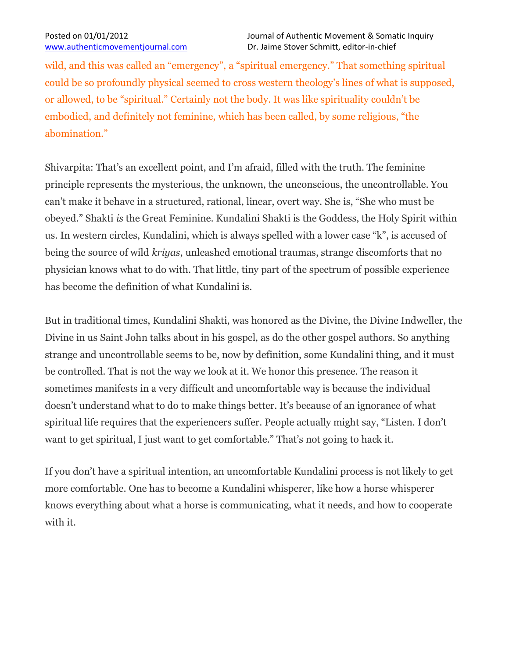wild, and this was called an "emergency", a "spiritual emergency." That something spiritual could be so profoundly physical seemed to cross western theology's lines of what is supposed, or allowed, to be "spiritual." Certainly not the body. It was like spirituality couldn't be embodied, and definitely not feminine, which has been called, by some religious, "the abomination."

Shivarpita: That's an excellent point, and I'm afraid, filled with the truth. The feminine principle represents the mysterious, the unknown, the unconscious, the uncontrollable. You can't make it behave in a structured, rational, linear, overt way. She is, "She who must be obeyed." Shakti *is* the Great Feminine. Kundalini Shakti is the Goddess, the Holy Spirit within us. In western circles, Kundalini, which is always spelled with a lower case "k", is accused of being the source of wild *kriyas*, unleashed emotional traumas, strange discomforts that no physician knows what to do with. That little, tiny part of the spectrum of possible experience has become the definition of what Kundalini is.

But in traditional times, Kundalini Shakti, was honored as the Divine, the Divine Indweller, the Divine in us Saint John talks about in his gospel, as do the other gospel authors. So anything strange and uncontrollable seems to be, now by definition, some Kundalini thing, and it must be controlled. That is not the way we look at it. We honor this presence. The reason it sometimes manifests in a very difficult and uncomfortable way is because the individual doesn't understand what to do to make things better. It's because of an ignorance of what spiritual life requires that the experiencers suffer. People actually might say, "Listen. I don't want to get spiritual, I just want to get comfortable." That's not going to hack it.

If you don't have a spiritual intention, an uncomfortable Kundalini process is not likely to get more comfortable. One has to become a Kundalini whisperer, like how a horse whisperer knows everything about what a horse is communicating, what it needs, and how to cooperate with it.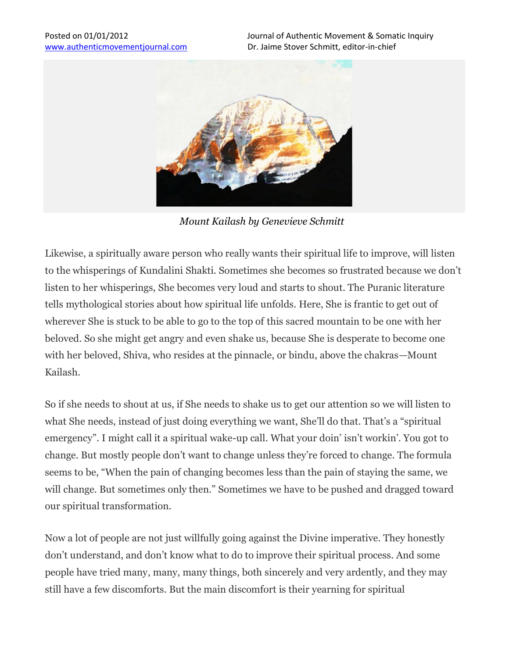

*Mount Kailash by Genevieve Schmitt*

Likewise, a spiritually aware person who really wants their spiritual life to improve, will listen to the whisperings of Kundalini Shakti. Sometimes she becomes so frustrated because we don't listen to her whisperings, She becomes very loud and starts to shout. The Puranic literature tells mythological stories about how spiritual life unfolds. Here, She is frantic to get out of wherever She is stuck to be able to go to the top of this sacred mountain to be one with her beloved. So she might get angry and even shake us, because She is desperate to become one with her beloved, Shiva, who resides at the pinnacle, or bindu, above the chakras—Mount Kailash.

So if she needs to shout at us, if She needs to shake us to get our attention so we will listen to what She needs, instead of just doing everything we want, She'll do that. That's a "spiritual emergency". I might call it a spiritual wake-up call. What your doin' isn't workin'. You got to change. But mostly people don't want to change unless they're forced to change. The formula seems to be, "When the pain of changing becomes less than the pain of staying the same, we will change. But sometimes only then." Sometimes we have to be pushed and dragged toward our spiritual transformation.

Now a lot of people are not just willfully going against the Divine imperative. They honestly don't understand, and don't know what to do to improve their spiritual process. And some people have tried many, many, many things, both sincerely and very ardently, and they may still have a few discomforts. But the main discomfort is their yearning for spiritual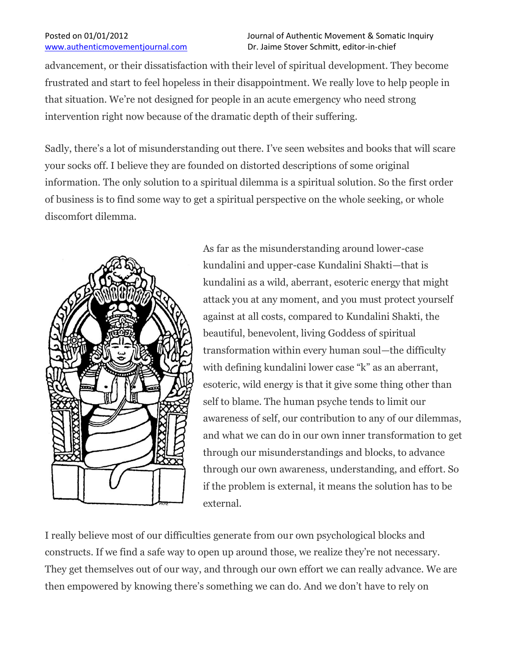advancement, or their dissatisfaction with their level of spiritual development. They become frustrated and start to feel hopeless in their disappointment. We really love to help people in that situation. We're not designed for people in an acute emergency who need strong intervention right now because of the dramatic depth of their suffering.

Sadly, there's a lot of misunderstanding out there. I've seen websites and books that will scare your socks off. I believe they are founded on distorted descriptions of some original information. The only solution to a spiritual dilemma is a spiritual solution. So the first order of business is to find some way to get a spiritual perspective on the whole seeking, or whole discomfort dilemma.



As far as the misunderstanding around lower-case kundalini and upper-case Kundalini Shakti—that is kundalini as a wild, aberrant, esoteric energy that might attack you at any moment, and you must protect yourself against at all costs, compared to Kundalini Shakti, the beautiful, benevolent, living Goddess of spiritual transformation within every human soul—the difficulty with defining kundalini lower case "k" as an aberrant, esoteric, wild energy is that it give some thing other than self to blame. The human psyche tends to limit our awareness of self, our contribution to any of our dilemmas, and what we can do in our own inner transformation to get through our misunderstandings and blocks, to advance through our own awareness, understanding, and effort. So if the problem is external, it means the solution has to be external.

I really believe most of our difficulties generate from our own psychological blocks and constructs. If we find a safe way to open up around those, we realize they're not necessary. They get themselves out of our way, and through our own effort we can really advance. We are then empowered by knowing there's something we can do. And we don't have to rely on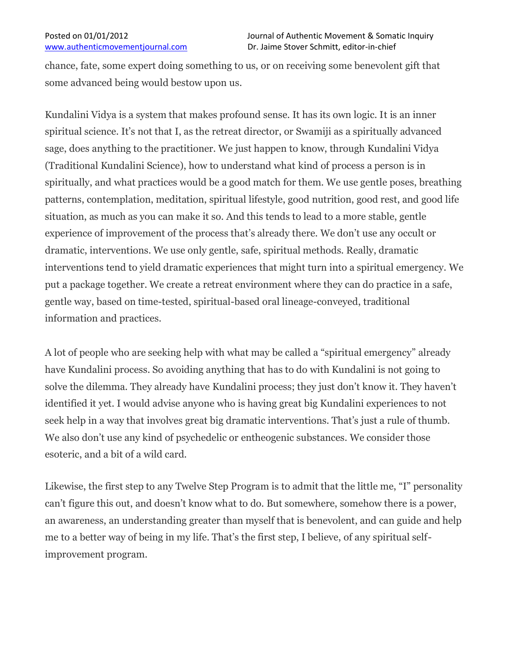chance, fate, some expert doing something to us, or on receiving some benevolent gift that some advanced being would bestow upon us.

Kundalini Vidya is a system that makes profound sense. It has its own logic. It is an inner spiritual science. It's not that I, as the retreat director, or Swamiji as a spiritually advanced sage, does anything to the practitioner. We just happen to know, through Kundalini Vidya (Traditional Kundalini Science), how to understand what kind of process a person is in spiritually, and what practices would be a good match for them. We use gentle poses, breathing patterns, contemplation, meditation, spiritual lifestyle, good nutrition, good rest, and good life situation, as much as you can make it so. And this tends to lead to a more stable, gentle experience of improvement of the process that's already there. We don't use any occult or dramatic, interventions. We use only gentle, safe, spiritual methods. Really, dramatic interventions tend to yield dramatic experiences that might turn into a spiritual emergency. We put a package together. We create a retreat environment where they can do practice in a safe, gentle way, based on time-tested, spiritual-based oral lineage-conveyed, traditional information and practices.

A lot of people who are seeking help with what may be called a "spiritual emergency" already have Kundalini process. So avoiding anything that has to do with Kundalini is not going to solve the dilemma. They already have Kundalini process; they just don't know it. They haven't identified it yet. I would advise anyone who is having great big Kundalini experiences to not seek help in a way that involves great big dramatic interventions. That's just a rule of thumb. We also don't use any kind of psychedelic or entheogenic substances. We consider those esoteric, and a bit of a wild card.

Likewise, the first step to any Twelve Step Program is to admit that the little me, "I" personality can't figure this out, and doesn't know what to do. But somewhere, somehow there is a power, an awareness, an understanding greater than myself that is benevolent, and can guide and help me to a better way of being in my life. That's the first step, I believe, of any spiritual selfimprovement program.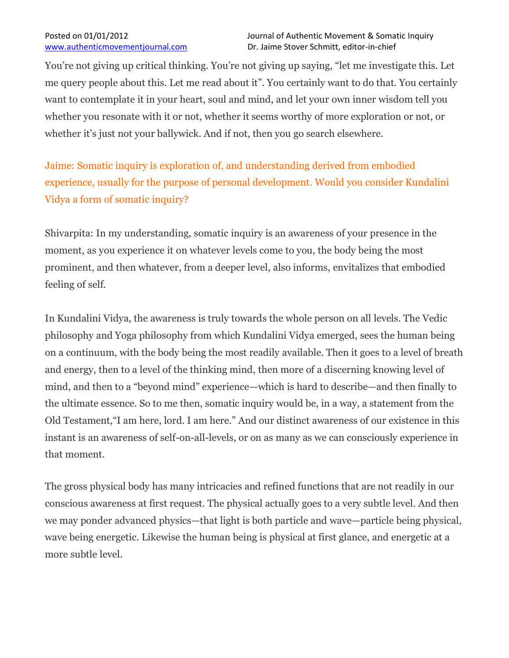You're not giving up critical thinking. You're not giving up saying, "let me investigate this. Let me query people about this. Let me read about it". You certainly want to do that. You certainly want to contemplate it in your heart, soul and mind, and let your own inner wisdom tell you whether you resonate with it or not, whether it seems worthy of more exploration or not, or whether it's just not your ballywick. And if not, then you go search elsewhere.

Jaime: Somatic inquiry is exploration of, and understanding derived from embodied experience, usually for the purpose of personal development. Would you consider Kundalini Vidya a form of somatic inquiry?

Shivarpita: In my understanding, somatic inquiry is an awareness of your presence in the moment, as you experience it on whatever levels come to you, the body being the most prominent, and then whatever, from a deeper level, also informs, envitalizes that embodied feeling of self.

In Kundalini Vidya, the awareness is truly towards the whole person on all levels. The Vedic philosophy and Yoga philosophy from which Kundalini Vidya emerged, sees the human being on a continuum, with the body being the most readily available. Then it goes to a level of breath and energy, then to a level of the thinking mind, then more of a discerning knowing level of mind, and then to a "beyond mind" experience—which is hard to describe—and then finally to the ultimate essence. So to me then, somatic inquiry would be, in a way, a statement from the Old Testament,"I am here, lord. I am here." And our distinct awareness of our existence in this instant is an awareness of self-on-all-levels, or on as many as we can consciously experience in that moment.

The gross physical body has many intricacies and refined functions that are not readily in our conscious awareness at first request. The physical actually goes to a very subtle level. And then we may ponder advanced physics—that light is both particle and wave—particle being physical, wave being energetic. Likewise the human being is physical at first glance, and energetic at a more subtle level.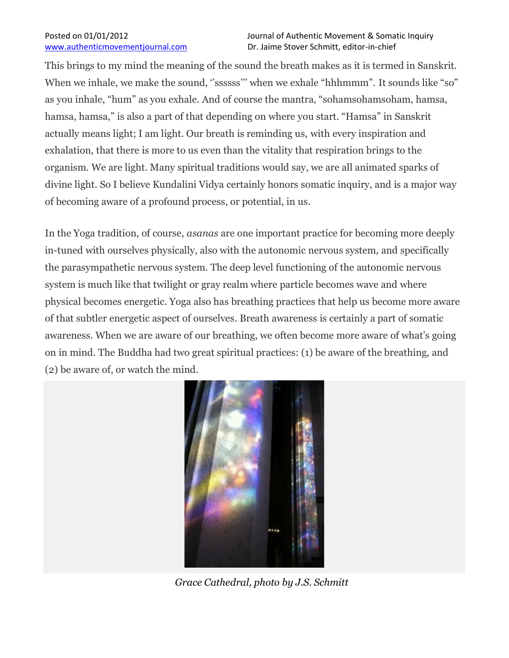This brings to my mind the meaning of the sound the breath makes as it is termed in Sanskrit. When we inhale, we make the sound, "ssssss" when we exhale "hhhmmm". It sounds like "so" as you inhale, "hum" as you exhale. And of course the mantra, "sohamsohamsoham, hamsa, hamsa, hamsa," is also a part of that depending on where you start. "Hamsa" in Sanskrit actually means light; I am light. Our breath is reminding us, with every inspiration and exhalation, that there is more to us even than the vitality that respiration brings to the organism. We are light. Many spiritual traditions would say, we are all animated sparks of divine light. So I believe Kundalini Vidya certainly honors somatic inquiry, and is a major way of becoming aware of a profound process, or potential, in us.

In the Yoga tradition, of course, *asanas* are one important practice for becoming more deeply in-tuned with ourselves physically, also with the autonomic nervous system, and specifically the parasympathetic nervous system. The deep level functioning of the autonomic nervous system is much like that twilight or gray realm where particle becomes wave and where physical becomes energetic. Yoga also has breathing practices that help us become more aware of that subtler energetic aspect of ourselves. Breath awareness is certainly a part of somatic awareness. When we are aware of our breathing, we often become more aware of what's going on in mind. The Buddha had two great spiritual practices: (1) be aware of the breathing, and (2) be aware of, or watch the mind.



*Grace Cathedral, photo by J.S. Schmitt*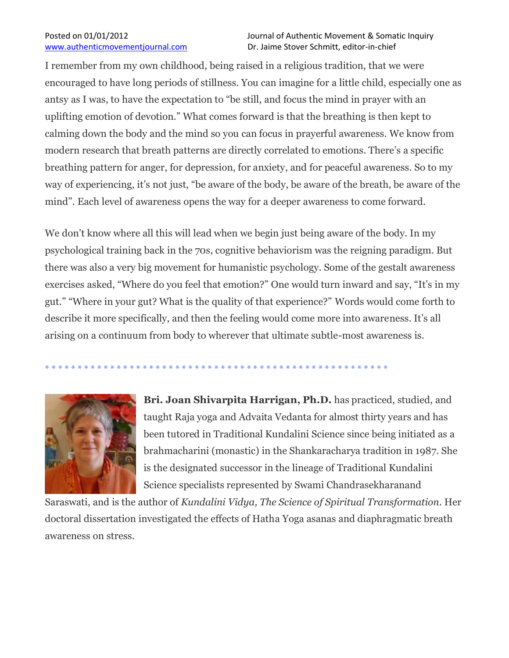I remember from my own childhood, being raised in a religious tradition, that we were encouraged to have long periods of stillness. You can imagine for a little child, especially one as antsy as I was, to have the expectation to "be still, and focus the mind in prayer with an uplifting emotion of devotion." What comes forward is that the breathing is then kept to calming down the body and the mind so you can focus in prayerful awareness. We know from modern research that breath patterns are directly correlated to emotions. There's a specific breathing pattern for anger, for depression, for anxiety, and for peaceful awareness. So to my way of experiencing, it's not just, "be aware of the body, be aware of the breath, be aware of the mind". Each level of awareness opens the way for a deeper awareness to come forward.

We don't know where all this will lead when we begin just being aware of the body. In my psychological training back in the 70s, cognitive behaviorism was the reigning paradigm. But there was also a very big movement for humanistic psychology. Some of the gestalt awareness exercises asked, "Where do you feel that emotion?" One would turn inward and say, "It's in my gut." "Where in your gut? What is the quality of that experience?" Words would come forth to describe it more specifically, and then the feeling would come more into awareness. It's all arising on a continuum from body to wherever that ultimate subtle-most awareness is.

\* \* \* \* \* \* \* \* \* \* \* \* \* \* \* \* \* \* \* \* \* \* \* \* \* \* \* \* \* \* \* \* \* \* \* \* \* \* \* \* \* \* \* \* \* \* \* \* \* \* \* \* \*



**Bri. Joan Shivarpita Harrigan, Ph.D.** has practiced, studied, and taught Raja yoga and Advaita Vedanta for almost thirty years and has been tutored in Traditional Kundalini Science since being initiated as a brahmacharini (monastic) in the Shankaracharya tradition in 1987. She is the designated successor in the lineage of Traditional Kundalini Science specialists represented by Swami Chandrasekharanand

Saraswati, and is the author of *Kundalini Vidya, The Science of Spiritual Transformation*. Her doctoral dissertation investigated the effects of Hatha Yoga asanas and diaphragmatic breath awareness on stress.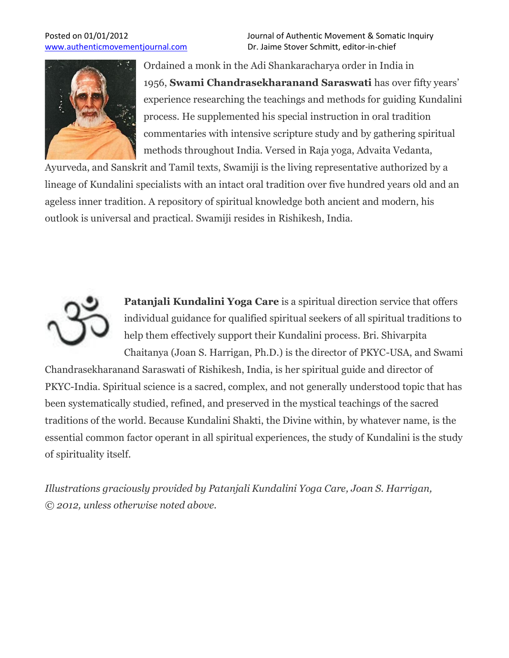

Ordained a monk in the Adi Shankaracharya order in India in 1956, **Swami Chandrasekharanand Saraswati** has over fifty years' experience researching the teachings and methods for guiding Kundalini process. He supplemented his special instruction in oral tradition commentaries with intensive scripture study and by gathering spiritual methods throughout India. Versed in Raja yoga, Advaita Vedanta,

Ayurveda, and Sanskrit and Tamil texts, Swamiji is the living representative authorized by a lineage of Kundalini specialists with an intact oral tradition over five hundred years old and an ageless inner tradition. A repository of spiritual knowledge both ancient and modern, his outlook is universal and practical. Swamiji resides in Rishikesh, India.



**Patanjali Kundalini Yoga Care** is a spiritual direction service that offers individual guidance for qualified spiritual seekers of all spiritual traditions to help them effectively support their Kundalini process. Bri. Shivarpita Chaitanya (Joan S. Harrigan, Ph.D.) is the director of PKYC-USA, and Swami

Chandrasekharanand Saraswati of Rishikesh, India, is her spiritual guide and director of PKYC-India. Spiritual science is a sacred, complex, and not generally understood topic that has been systematically studied, refined, and preserved in the mystical teachings of the sacred traditions of the world. Because Kundalini Shakti, the Divine within, by whatever name, is the essential common factor operant in all spiritual experiences, the study of Kundalini is the study of spirituality itself.

*Illustrations graciously provided by Patanjali Kundalini Yoga Care, Joan S. Harrigan, © 2012, unless otherwise noted above.*